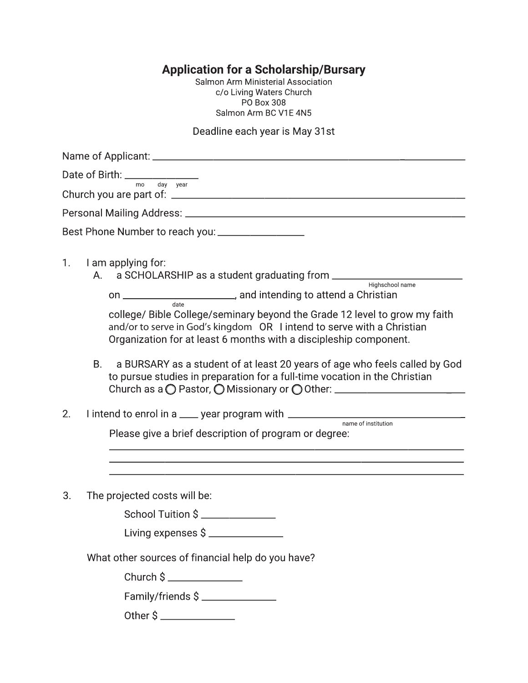**Application for a Scholarship/Bursary**<br>Salmon Arm Ministerial Association<br>C/o Living Waters Church **PO Box 308** Salmon Arm BC V1E 4N5

Deadline each year is May 31st

| Date of Birth: $\frac{1}{\sqrt{1-\frac{1}{m_0}} \cdot \frac{1}{\sqrt{1-\frac{1}{m_0}} \cdot \frac{1}{\sqrt{1-\frac{1}{m_0}}}}}}$                                                                                          |  |
|---------------------------------------------------------------------------------------------------------------------------------------------------------------------------------------------------------------------------|--|
|                                                                                                                                                                                                                           |  |
|                                                                                                                                                                                                                           |  |
| Best Phone Number to reach you: ___________________                                                                                                                                                                       |  |
| I am applying for:<br>1.<br>am applyllig for.<br>A. a SCHOLARSHIP as a student graduating from __________________________________                                                                                         |  |
|                                                                                                                                                                                                                           |  |
| college/ Bible College/seminary beyond the Grade 12 level to grow my faith<br>and/or to serve in God's kingdom OR I intend to serve with a Christian<br>Organization for at least 6 months with a discipleship component. |  |
| a BURSARY as a student of at least 20 years of age who feels called by God<br><b>B.</b><br>to pursue studies in preparation for a full-time vocation in the Christian                                                     |  |
| 2.<br>I intend to enrol in a ____ year program with __________________________________                                                                                                                                    |  |
| Please give a brief description of program or degree:<br><u> 1989 - Johann John Stone, market fan de Amerikaanske kommunister fan de Amerikaanske kommunister fan de Amerika</u>                                          |  |
|                                                                                                                                                                                                                           |  |
| 3.<br>The projected costs will be:                                                                                                                                                                                        |  |
| School Tuition \$                                                                                                                                                                                                         |  |
| Living expenses \$                                                                                                                                                                                                        |  |
| What other sources of financial help do you have?                                                                                                                                                                         |  |
| Church \$ _______________                                                                                                                                                                                                 |  |
| Family/friends \$                                                                                                                                                                                                         |  |
|                                                                                                                                                                                                                           |  |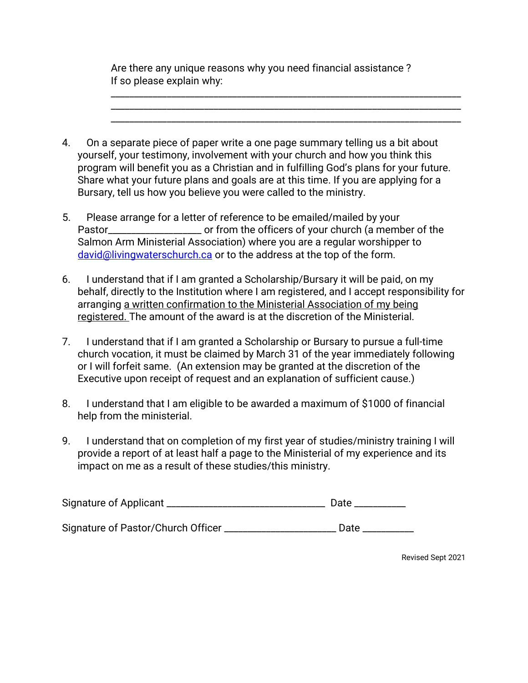Are there any unique reasons why you need financial assistance ? If so please explain why:

\_\_\_\_\_\_\_\_\_\_\_\_\_\_\_\_\_\_\_\_\_\_\_\_\_\_\_\_\_\_\_\_\_\_\_\_\_\_\_\_\_\_\_\_\_\_\_\_\_\_\_\_\_\_\_\_\_\_\_\_\_\_\_\_\_\_\_\_\_\_\_\_\_\_\_ \_\_\_\_\_\_\_\_\_\_\_\_\_\_\_\_\_\_\_\_\_\_\_\_\_\_\_\_\_\_\_\_\_\_\_\_\_\_\_\_\_\_\_\_\_\_\_\_\_\_\_\_\_\_\_\_\_\_\_\_\_\_\_\_\_\_\_\_\_\_\_\_\_\_\_ \_\_\_\_\_\_\_\_\_\_\_\_\_\_\_\_\_\_\_\_\_\_\_\_\_\_\_\_\_\_\_\_\_\_\_\_\_\_\_\_\_\_\_\_\_\_\_\_\_\_\_\_\_\_\_\_\_\_\_\_\_\_\_\_\_\_\_\_\_\_\_\_\_\_\_

| 4. | On a separate piece of paper write a one page summary telling us a bit about           |
|----|----------------------------------------------------------------------------------------|
|    | yourself, your testimony, involvement with your church and how you think this          |
|    | program will benefit you as a Christian and in fulfilling God's plans for your future. |
|    | Share what your future plans and goals are at this time. If you are applying for a     |
|    | Bursary, tell us how you believe you were called to the ministry.                      |

- 5. Please arrange for a letter of reference to be emailed/mailed by your Pastor\_\_\_\_\_\_\_\_\_\_\_\_\_\_\_\_\_\_\_\_\_\_\_\_ or from the officers of your church (a member of the Salmon Arm Ministerial Association) where you are a regular worshipper to [david@livingwaterschurch.ca](mailto:david@livingwaterschurch.ca) or to the address at the top of the form.
- 6. I understand that if I am granted a Scholarship/Bursary it will be paid, on my behalf, directly to the Institution where I am registered, and I accept responsibility for arranging a written confirmation to the Ministerial Association of my being registered. The amount of the award is at the discretion of the Ministerial.
- 7. I understand that if I am granted a Scholarship or Bursary to pursue a full-time church vocation, it must be claimed by March 31 of the year immediately following or I will forfeit same. (An extension may be granted at the discretion of the Executive upon receipt of request and an explanation of sufficient cause.)
- 8. I understand that I am eligible to be awarded a maximum of \$1000 of financial help from the ministerial.
- 9. I understand that on completion of my first year of studies/ministry training I will provide a report of at least half a page to the Ministerial of my experience and its impact on me as a result of these studies/this ministry.

| <b>Signature of Applicant</b> |  |
|-------------------------------|--|
|                               |  |

Signature of Pastor/Church Officer \_\_\_\_\_\_\_\_\_\_\_\_\_\_\_\_\_\_\_\_\_\_\_\_\_ Date \_\_\_\_\_\_\_\_\_\_\_\_\_\_

Revised Sept 2021